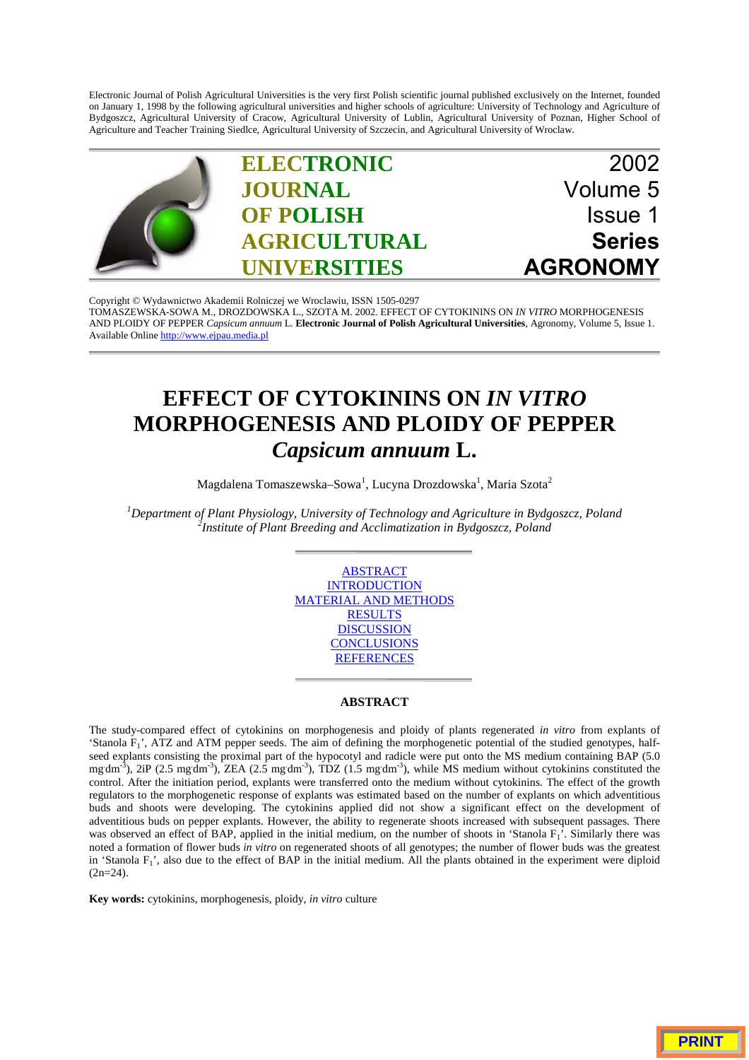Electronic Journal of Polish Agricultural Universities is the very first Polish scientific journal published exclusively on the Internet, founded on January 1, 1998 by the following agricultural universities and higher schools of agriculture: University of Technology and Agriculture of Bydgoszcz, Agricultural University of Cracow, Agricultural University of Lublin, Agricultural University of Poznan, Higher School of Agriculture and Teacher Training Siedlce, Agricultural University of Szczecin, and Agricultural University of Wroclaw.



Copyright © Wydawnictwo Akademii Rolniczej we Wroclawiu, ISSN 1505-0297 [TOMASZEWSKA-SOWA M., DROZDOWSKA L., SZOTA M. 2002. EFFECT OF CYTOKININS ON](http://www.ejpau.media.pl) *IN VITRO* MORPHOGENESIS AND PLOIDY OF PEPPER *Capsicum annuum* L. **Electronic Journal of Polish Agricultural Universities**, Agronomy, Volume 5, Issue 1. Available Online http://www.ejpau.media.pl

# **EFFECT OF CYTOKININS ON** *IN VITRO* **MORPHOGENESIS AND PLOIDY OF PEPPER** *Capsicum annuum* **L.**

Magdalena Tomaszewska–Sowa $^{\rm l}$ , Lucyna Drozdowska $^{\rm l}$ , Maria Szota $^{\rm 2}$ 

*1 Department of Plant Physiology, University of Technology and Agriculture in Bydgoszcz, Poland <sup>2</sup> Institute of Plant Breeding and Acclimatization in Bydgoszcz, Poland*



## **ABSTRACT**

The study-compared effect of cytokinins on morphogenesis and ploidy of plants regenerated *in vitro* from explants of 'Stanola  $F_1$ ', ATZ and ATM pepper seeds. The aim of defining the morphogenetic potential of the studied genotypes, halfseed explants consisting the proximal part of the hypocotyl and radicle were put onto the MS medium containing BAP (5.0 mg dm<sup>-3</sup>), 2iP (2.5 mg dm<sup>-3</sup>), ZEA (2.5 mg dm<sup>-3</sup>), TDZ (1.5 mg dm<sup>-3</sup>), while MS medium without cytokinins constituted the control. After the initiation period, explants were transferred onto the medium without cytokinins. The effect of the growth regulators to the morphogenetic response of explants was estimated based on the number of explants on which adventitious buds and shoots were developing. The cytokinins applied did not show a significant effect on the development of adventitious buds on pepper explants. However, the ability to regenerate shoots increased with subsequent passages. There was observed an effect of BAP, applied in the initial medium, on the number of shoots in 'Stanola  $F_1$ '. Similarly there was noted a formation of flower buds *in vitro* on regenerated shoots of all genotypes; the number of flower buds was the greatest in 'Stanola  $F_1$ ', also due to the effect of BAP in the initial medium. All the plants obtained in the experiment were diploid  $(2n=24)$ .

**Key words:** cytokinins, morphogenesis, ploidy, *in vitro* culture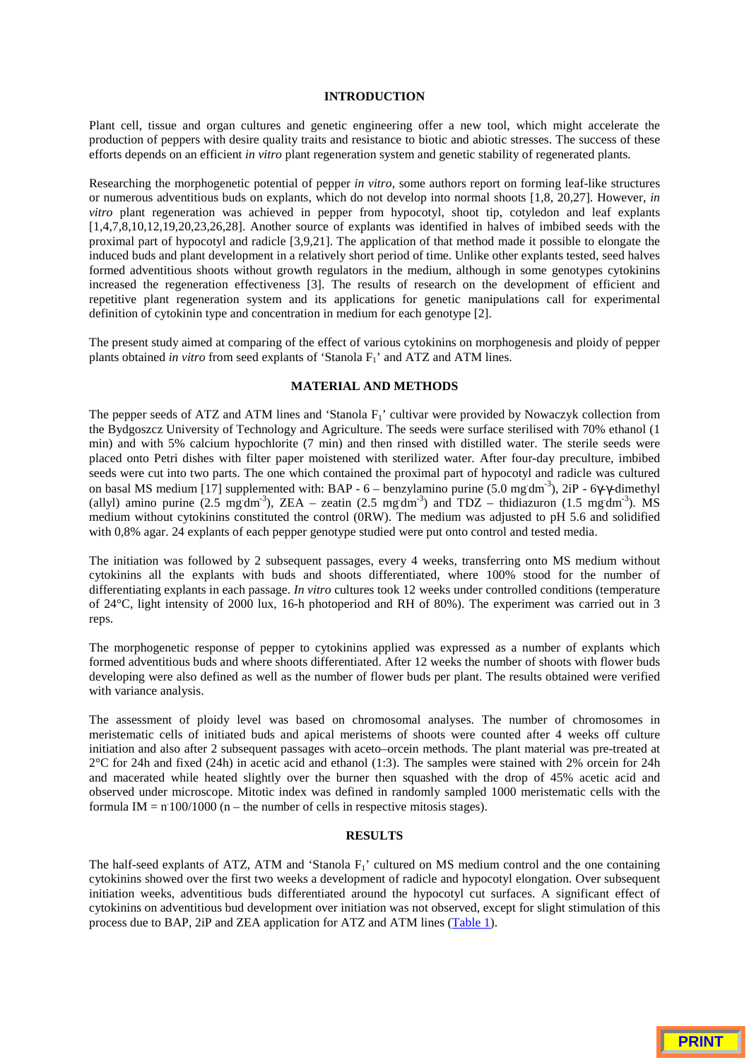### **INTRODUCTION**

Plant cell, tissue and organ cultures and genetic engineering offer a new tool, which might accelerate the production of peppers with desire quality traits and resistance to biotic and abiotic stresses. The success of these efforts depends on an efficient *in vitro* plant regeneration system and genetic stability of regenerated plants.

Researching the morphogenetic potential of pepper *in vitro*, some authors report on forming leaf-like structures or numerous adventitious buds on explants, which do not develop into normal shoots [1,8, 20,27]. However, *in vitro* plant regeneration was achieved in pepper from hypocotyl, shoot tip, cotyledon and leaf explants [1,4,7,8,10,12,19,20,23,26,28]. Another source of explants was identified in halves of imbibed seeds with the proximal part of hypocotyl and radicle [3,9,21]. The application of that method made it possible to elongate the induced buds and plant development in a relatively short period of time. Unlike other explants tested, seed halves formed adventitious shoots without growth regulators in the medium, although in some genotypes cytokinins increased the regeneration effectiveness [3]. The results of research on the development of efficient and repetitive plant regeneration system and its applications for genetic manipulations call for experimental definition of cytokinin type and concentration in medium for each genotype [2].

The present study aimed at comparing of the effect of various cytokinins on morphogenesis and ploidy of pepper plants obtained *in vitro* from seed explants of 'Stanola F1' and ATZ and ATM lines.

## **MATERIAL AND METHODS**

The pepper seeds of ATZ and ATM lines and 'Stanola  $F_1$ ' cultivar were provided by Nowaczyk collection from the Bydgoszcz University of Technology and Agriculture. The seeds were surface sterilised with 70% ethanol (1 min) and with 5% calcium hypochlorite (7 min) and then rinsed with distilled water. The sterile seeds were placed onto Petri dishes with filter paper moistened with sterilized water. After four-day preculture, imbibed seeds were cut into two parts. The one which contained the proximal part of hypocotyl and radicle was cultured on basal MS medium [17] supplemented with: BAP - 6 – benzylamino purine (5.0 mg dm<sup>-3</sup>), 2iP - 6γ-γ-dimethyl (allyl) amino purine  $(2.5 \text{ mg/m}^3)$ , ZEA – zeatin  $(2.5 \text{ mg/m}^3)$  and TDZ – thidiazuron  $(1.5 \text{ mg/m}^3)$ . MS medium without cytokinins constituted the control (0RW). The medium was adjusted to pH 5.6 and solidified with 0,8% agar. 24 explants of each pepper genotype studied were put onto control and tested media.

The initiation was followed by 2 subsequent passages, every 4 weeks, transferring onto MS medium without cytokinins all the explants with buds and shoots differentiated, where 100% stood for the number of differentiating explants in each passage. *In vitro* cultures took 12 weeks under controlled conditions (temperature of 24°C, light intensity of 2000 lux, 16-h photoperiod and RH of 80%). The experiment was carried out in 3 reps.

The morphogenetic response of pepper to cytokinins applied was expressed as a number of explants which formed adventitious buds and where shoots differentiated. After 12 weeks the number of shoots with flower buds developing were also defined as well as the number of flower buds per plant. The results obtained were verified with variance analysis.

The assessment of ploidy level was based on chromosomal analyses. The number of chromosomes in meristematic cells of initiated buds and apical meristems of shoots were counted after 4 weeks off culture initiation and also after 2 subsequent passages with aceto–orcein methods. The plant material was pre-treated at 2°C for 24h and fixed (24h) in acetic acid and ethanol (1:3). The samples were stained with 2% orcein for 24h and macerated while heated slightly over the burner then squashed with the drop of 45% acetic acid and observed under microscope. Mitotic index was defined in randomly sampled 1000 meristematic cells with the formula IM =  $n \cdot 100/1000$  (n – the number of cells in respective mitosis stages).

## **RESULTS**

The half-seed explants of ATZ, ATM and 'Stanola  $F_1$ ' cultured on MS medium control and the one containing cytokinins showed over the first two weeks a development of radicle and hypocotyl elongation. Over subsequent initiation weeks, adventitious buds differentiated around the hypocotyl cut surfaces. A significant effect of cytokinins on adventitious bud development over initiation was not observed, except for slight stimulation of this process due to BAP, 2iP and ZEA application for ATZ and ATM lines (Table 1).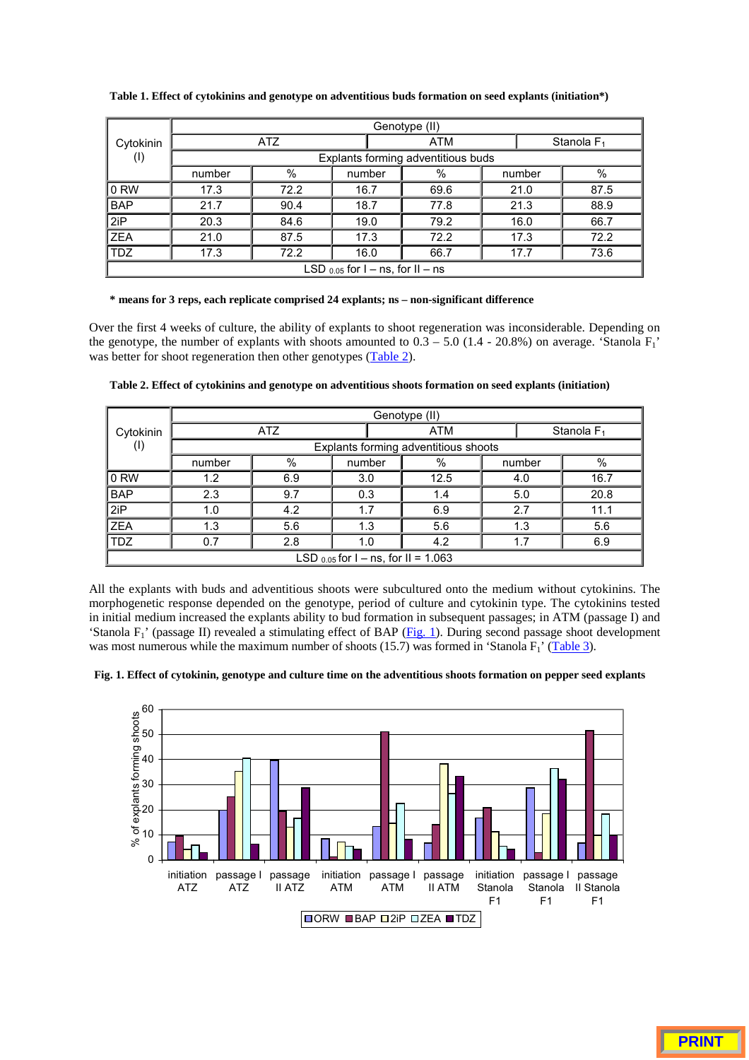|                                       | Genotype (II)                      |      |        |      |  |        |                        |  |
|---------------------------------------|------------------------------------|------|--------|------|--|--------|------------------------|--|
| Cytokinin                             | ATZ                                |      |        | ATM  |  |        | Stanola F <sub>1</sub> |  |
| $^{(1)}$                              | Explants forming adventitious buds |      |        |      |  |        |                        |  |
|                                       | number                             | %    | number | %    |  | number | $\%$                   |  |
| $ 0$ RW                               | 17.3                               | 72.2 | 16.7   | 69.6 |  | 21.0   | 87.5                   |  |
| <b>BAP</b>                            | 21.7                               | 90.4 | 18.7   | 77.8 |  | 21.3   | 88.9                   |  |
| 2iP                                   | 20.3                               | 84.6 | 19.0   | 79.2 |  | 16.0   | 66.7                   |  |
| <b>ZEA</b>                            | 21.0                               | 87.5 | 17.3   | 72.2 |  | 17.3   | 72.2                   |  |
| <b>TDZ</b>                            | 17.3                               | 72.2 | 16.0   | 66.7 |  | 17.7   | 73.6                   |  |
| LSD $_{0.05}$ for I – ns, for II – ns |                                    |      |        |      |  |        |                        |  |

**Table 1. Effect of cytokinins and genotype on adventitious buds formation on seed explants (initiation\*)**

### **\* means for 3 reps, each replicate comprised 24 explants; ns – non-significant difference**

Over the first 4 weeks of culture, the ability of explants to shoot regeneration was inconsiderable. Depending on the genotype, the number of explants with shoots amounted to  $0.3 - 5.0$  (1.4 - 20.8%) on average. 'Stanola  $F_1$ ' was better for shoot regeneration then other genotypes (Table 2).

|                                          | Genotype (II)                        |     |        |     |      |  |               |      |
|------------------------------------------|--------------------------------------|-----|--------|-----|------|--|---------------|------|
| Cytokinin                                | <b>ATZ</b>                           |     |        | ATM |      |  | Stanola $F_1$ |      |
| $^{(1)}$                                 | Explants forming adventitious shoots |     |        |     |      |  |               |      |
|                                          | number                               | %   | number |     | %    |  | number        | $\%$ |
| 0 RW                                     | 1.2                                  | 6.9 | 3.0    |     | 12.5 |  | 4.0           | 16.7 |
| <b>BAP</b>                               | 2.3                                  | 9.7 | 0.3    |     | 1.4  |  | 5.0           | 20.8 |
| 2iP                                      | 1.0                                  | 4.2 | 1.7    |     | 6.9  |  | 2.7           | 11.1 |
| <b>ZEA</b>                               | 1.3                                  | 5.6 | 1.3    |     | 5.6  |  | 1.3           | 5.6  |
| <b>TDZ</b>                               | 0.7                                  | 2.8 | 1.0    |     | 4.2  |  | 1.7           | 6.9  |
| LSD $_{0.05}$ for I – ns, for II = 1.063 |                                      |     |        |     |      |  |               |      |

**Table 2. Effect of cytokinins and genotype on adventitious shoots formation on seed explants (initiation)**

All the explants with buds and adventitious shoots were subcultured onto the medium without cytokinins. The morphogenetic response depended on the genotype, period of culture and cytokinin type. The cytokinins tested in initial medium increased the explants ability to bud formation in subsequent passages; in ATM (passage I) and 'Stanola F1' (passage II) revealed a stimulating effect of BAP (Fig. 1). During second passage shoot development was most numerous while the maximum number of shoots (15.7) was formed in 'Stanola  $F_1$ ' (Table 3).

**Fig. 1. Effect of cytokinin, genotype and culture time on the adventitious shoots formation on pepper seed explants**

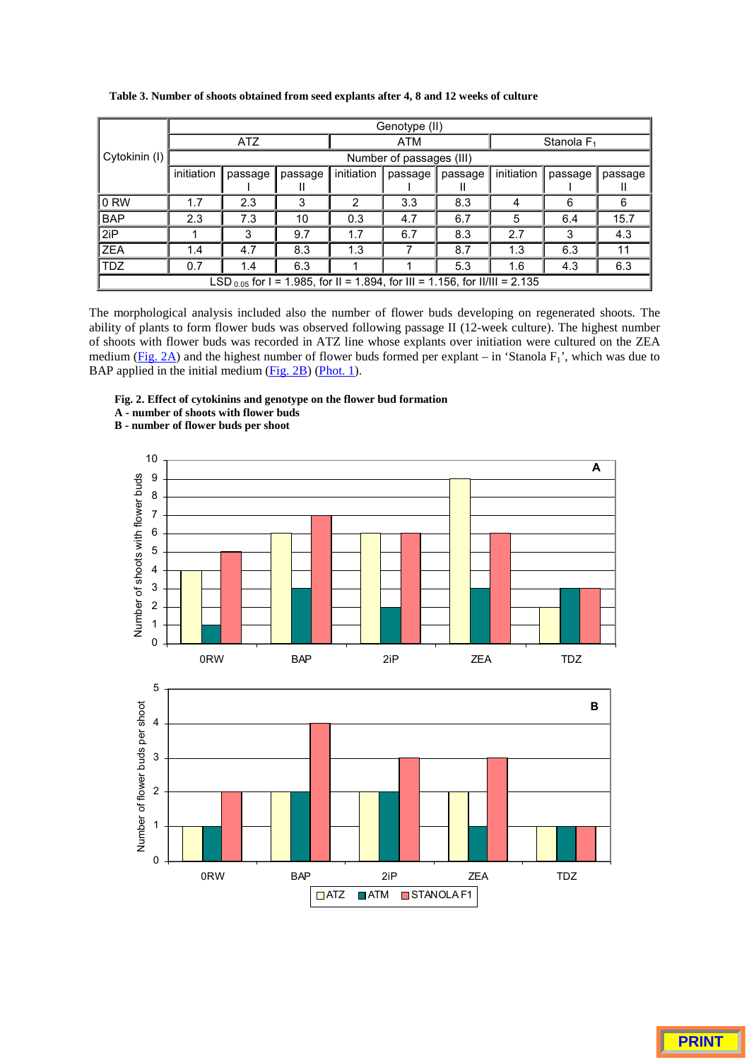|                                                                                  | Genotype (II)            |         |              |            |            |              |               |         |         |
|----------------------------------------------------------------------------------|--------------------------|---------|--------------|------------|------------|--------------|---------------|---------|---------|
|                                                                                  | <b>ATZ</b>               |         |              |            | <b>ATM</b> |              | Stanola $F_1$ |         |         |
| Cytokinin (I)                                                                    | Number of passages (III) |         |              |            |            |              |               |         |         |
|                                                                                  | initiation               | passage | passage<br>Ш | initiation | passage    | passage<br>Ш | initiation    | passage | passage |
| 0 RW                                                                             | 1.7                      | 2.3     | 3            | 2          | 3.3        | 8.3          | 4             | 6       | 6       |
| <b>BAP</b>                                                                       | 2.3                      | 7.3     | 10           | 0.3        | 4.7        | 6.7          | 5             | 6.4     | 15.7    |
| 2iP                                                                              |                          | 3       | 9.7          | 1.7        | 6.7        | 8.3          | 2.7           | 3       | 4.3     |
| <b>ZEA</b>                                                                       | 1.4                      | 4.7     | 8.3          | 1.3        |            | 8.7          | 1.3           | 6.3     | 11      |
| TDZ.                                                                             | 0.7                      | 1.4     | 6.3          |            |            | 5.3          | 1.6           | 4.3     | 6.3     |
| LSD $_{0.05}$ for I = 1.985, for II = 1.894, for III = 1.156, for II/III = 2.135 |                          |         |              |            |            |              |               |         |         |

**Table 3. Number of shoots obtained from seed explants after 4, 8 and 12 weeks of culture**

The morphological analysis included also the number of flower buds developing on regenerated shoots. The ability of plants to form flower buds was observed following passage II (12-week culture). The highest number of shoots with flower buds was recorded in ATZ line whose explants over initiation were cultured on the ZEA medium ( $Fig. 2A$ ) and the highest number of flower buds formed per explant – in 'Stanola  $F_1$ ', which was due to BAP applied in the initial medium (Fig. 2B) (Phot. 1).

- **Fig. 2. Effect of cytokinins and genotype on the flower bud formation**
- **A number of shoots with flower buds**

**B - number of flower buds per shoot**



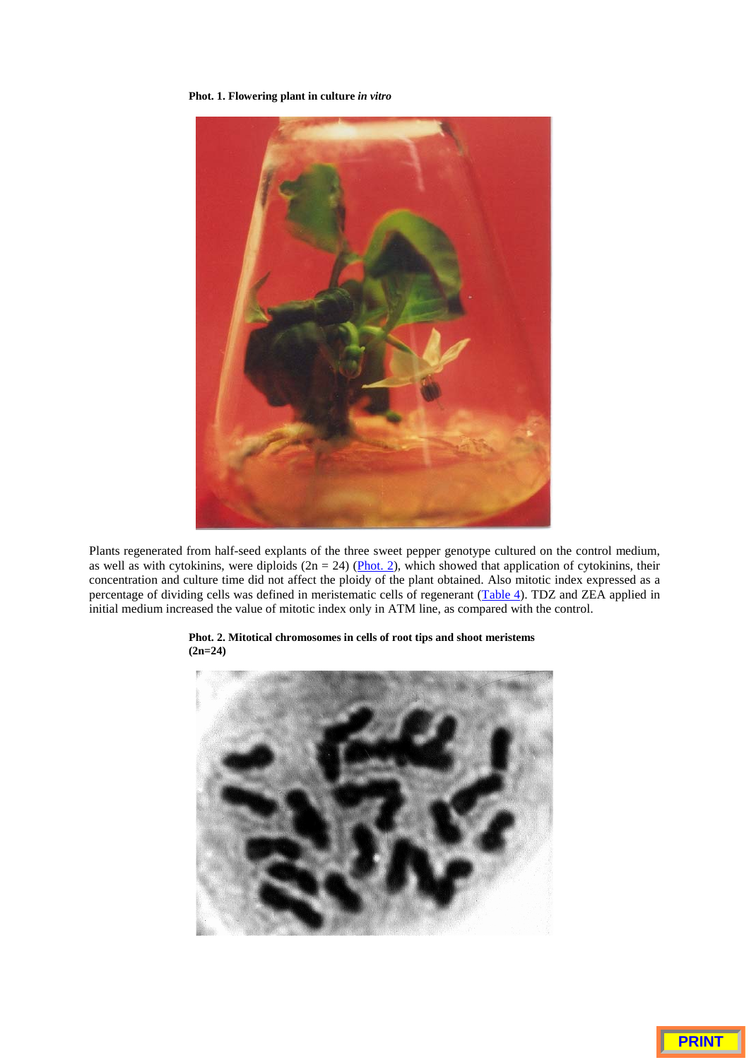**Phot. 1. Flowering plant in culture** *in vitro*



Plants regenerated from half-seed explants of the three sweet pepper genotype cultured on the control medium, as well as with cytokinins, were diploids  $(2n = 24)$  (Phot. 2), which showed that application of cytokinins, their concentration and culture time did not affect the ploidy of the plant obtained. Also mitotic index expressed as a percentage of dividing cells was defined in meristematic cells of regenerant (Table 4). TDZ and ZEA applied in initial medium increased the value of mitotic index only in ATM line, as compared with the control.



**Phot. 2. Mitotical chromosomes in cells of root tips and shoot meristems (2n=24)**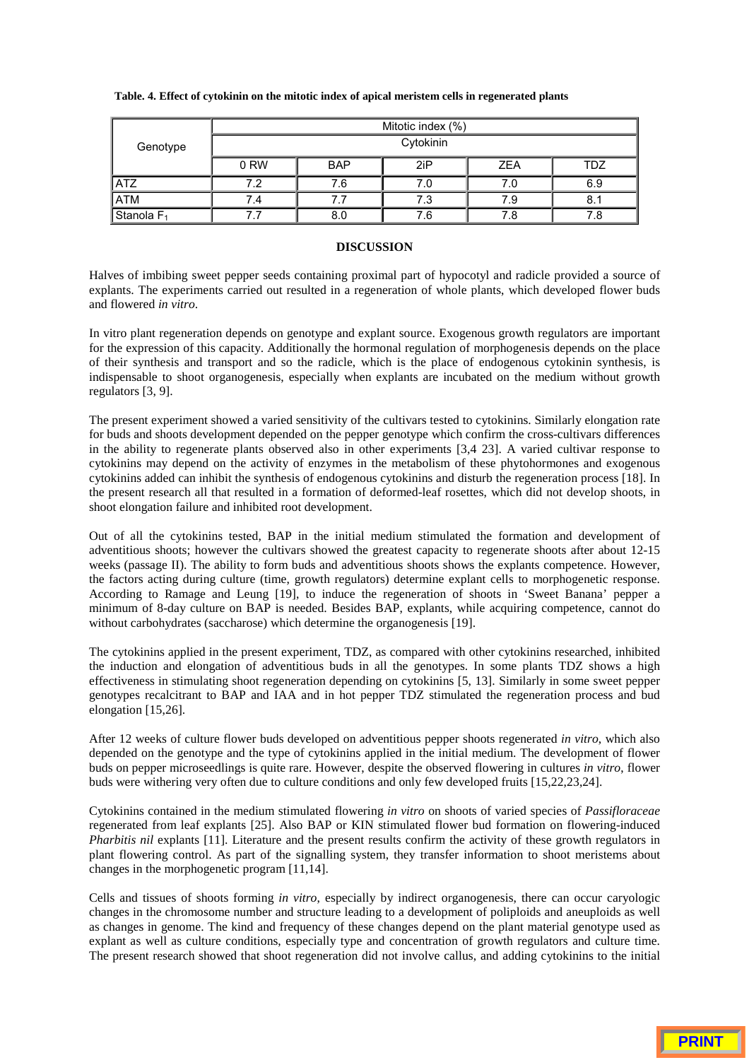| Table. 4. Effect of cytokinin on the mitotic index of apical meristem cells in regenerated plants |  |  |
|---------------------------------------------------------------------------------------------------|--|--|
|                                                                                                   |  |  |

|                       | Mitotic index (%) |            |     |            |            |  |  |  |
|-----------------------|-------------------|------------|-----|------------|------------|--|--|--|
| Genotype              | Cytokinin         |            |     |            |            |  |  |  |
|                       | 0 RW              | <b>BAP</b> | 2iP | <b>ZEA</b> | <b>TDZ</b> |  |  |  |
| ATZ                   | 7.2               | 7.6        | 7.0 | 7.0        | 6.9        |  |  |  |
| ATM                   | 7.4               | 7.7        | 7.3 | 7.9        | 8.1        |  |  |  |
| Stanola <sub>F1</sub> |                   | 8.0        | 7.6 | 7.8        | 7.8        |  |  |  |

#### **DISCUSSION**

Halves of imbibing sweet pepper seeds containing proximal part of hypocotyl and radicle provided a source of explants. The experiments carried out resulted in a regeneration of whole plants, which developed flower buds and flowered *in vitro*.

In vitro plant regeneration depends on genotype and explant source. Exogenous growth regulators are important for the expression of this capacity. Additionally the hormonal regulation of morphogenesis depends on the place of their synthesis and transport and so the radicle, which is the place of endogenous cytokinin synthesis, is indispensable to shoot organogenesis, especially when explants are incubated on the medium without growth regulators [3, 9].

The present experiment showed a varied sensitivity of the cultivars tested to cytokinins. Similarly elongation rate for buds and shoots development depended on the pepper genotype which confirm the cross-cultivars differences in the ability to regenerate plants observed also in other experiments [3,4 23]. A varied cultivar response to cytokinins may depend on the activity of enzymes in the metabolism of these phytohormones and exogenous cytokinins added can inhibit the synthesis of endogenous cytokinins and disturb the regeneration process [18]. In the present research all that resulted in a formation of deformed-leaf rosettes, which did not develop shoots, in shoot elongation failure and inhibited root development.

Out of all the cytokinins tested, BAP in the initial medium stimulated the formation and development of adventitious shoots; however the cultivars showed the greatest capacity to regenerate shoots after about 12-15 weeks (passage II). The ability to form buds and adventitious shoots shows the explants competence. However, the factors acting during culture (time, growth regulators) determine explant cells to morphogenetic response. According to Ramage and Leung [19], to induce the regeneration of shoots in 'Sweet Banana' pepper a minimum of 8-day culture on BAP is needed. Besides BAP, explants, while acquiring competence, cannot do without carbohydrates (saccharose) which determine the organogenesis [19].

The cytokinins applied in the present experiment, TDZ, as compared with other cytokinins researched, inhibited the induction and elongation of adventitious buds in all the genotypes. In some plants TDZ shows a high effectiveness in stimulating shoot regeneration depending on cytokinins [5, 13]. Similarly in some sweet pepper genotypes recalcitrant to BAP and IAA and in hot pepper TDZ stimulated the regeneration process and bud elongation [15,26].

After 12 weeks of culture flower buds developed on adventitious pepper shoots regenerated *in vitro*, which also depended on the genotype and the type of cytokinins applied in the initial medium. The development of flower buds on pepper microseedlings is quite rare. However, despite the observed flowering in cultures *in vitro*, flower buds were withering very often due to culture conditions and only few developed fruits [15,22,23,24].

Cytokinins contained in the medium stimulated flowering *in vitro* on shoots of varied species of *Passifloraceae* regenerated from leaf explants [25]. Also BAP or KIN stimulated flower bud formation on flowering-induced *Pharbitis nil* explants [11]. Literature and the present results confirm the activity of these growth regulators in plant flowering control. As part of the signalling system, they transfer information to shoot meristems about changes in the morphogenetic program [11,14].

Cells and tissues of shoots forming *in vitro*, especially by indirect organogenesis, there can occur caryologic changes in the chromosome number and structure leading to a development of poliploids and aneuploids as well as changes in genome. The kind and frequency of these changes depend on the plant material genotype used as explant as well as culture conditions, especially type and concentration of growth regulators and culture time. The present research showed that shoot regeneration did not involve callus, and adding cytokinins to the initial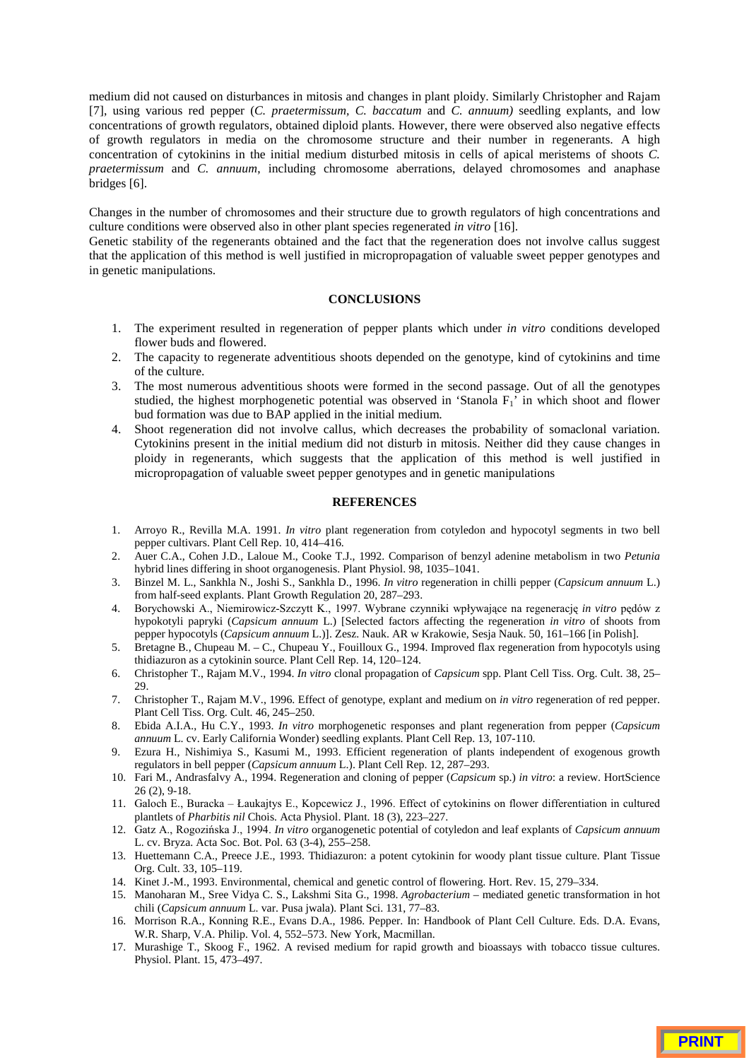medium did not caused on disturbances in mitosis and changes in plant ploidy. Similarly Christopher and Rajam [7], using various red pepper (*C. praetermissum, C. baccatum* and *C. annuum)* seedling explants, and low concentrations of growth regulators, obtained diploid plants. However, there were observed also negative effects of growth regulators in media on the chromosome structure and their number in regenerants. A high concentration of cytokinins in the initial medium disturbed mitosis in cells of apical meristems of shoots *C. praetermissum* and *C. annuum*, including chromosome aberrations, delayed chromosomes and anaphase bridges [6].

Changes in the number of chromosomes and their structure due to growth regulators of high concentrations and culture conditions were observed also in other plant species regenerated *in vitro* [16].

Genetic stability of the regenerants obtained and the fact that the regeneration does not involve callus suggest that the application of this method is well justified in micropropagation of valuable sweet pepper genotypes and in genetic manipulations.

#### **CONCLUSIONS**

- 1. The experiment resulted in regeneration of pepper plants which under *in vitro* conditions developed flower buds and flowered.
- 2. The capacity to regenerate adventitious shoots depended on the genotype, kind of cytokinins and time of the culture.
- 3. The most numerous adventitious shoots were formed in the second passage. Out of all the genotypes studied, the highest morphogenetic potential was observed in 'Stanola  $F_1$ ' in which shoot and flower bud formation was due to BAP applied in the initial medium.
- 4. Shoot regeneration did not involve callus, which decreases the probability of somaclonal variation. Cytokinins present in the initial medium did not disturb in mitosis. Neither did they cause changes in ploidy in regenerants, which suggests that the application of this method is well justified in micropropagation of valuable sweet pepper genotypes and in genetic manipulations

## **REFERENCES**

- 1. Arroyo R., Revilla M.A. 1991. *In vitro* plant regeneration from cotyledon and hypocotyl segments in two bell pepper cultivars. Plant Cell Rep. 10, 414–416.
- 2. Auer C.A., Cohen J.D., Laloue M., Cooke T.J., 1992. Comparison of benzyl adenine metabolism in two *Petunia* hybrid lines differing in shoot organogenesis. Plant Physiol. 98, 1035–1041.
- 3. Binzel M. L., Sankhla N., Joshi S., Sankhla D., 1996. *In vitro* regeneration in chilli pepper (*Capsicum annuum* L.) from half-seed explants. Plant Growth Regulation 20, 287–293.
- 4. Borychowski A., Niemirowicz-Szczytt K., 1997. Wybrane czynniki wpływające na regenerację in vitro pędów z hypokotyli papryki (*Capsicum annuum* L.) [Selected factors affecting the regeneration *in vitro* of shoots from pepper hypocotyls (*Capsicum annuum* L.)]. Zesz. Nauk. AR w Krakowie, Sesja Nauk. 50, 161–166 [in Polish].
- 5. Bretagne B., Chupeau M. C., Chupeau Y., Fouilloux G., 1994. Improved flax regeneration from hypocotyls using thidiazuron as a cytokinin source. Plant Cell Rep. 14, 120–124.
- 6. Christopher T., Rajam M.V., 1994. *In vitro* clonal propagation of *Capsicum* spp. Plant Cell Tiss. Org. Cult. 38, 25– 29.
- 7. Christopher T., Rajam M.V., 1996. Effect of genotype, explant and medium on *in vitro* regeneration of red pepper. Plant Cell Tiss. Org. Cult. 46, 245–250.
- 8. Ebida A.I.A., Hu C.Y., 1993. *In vitro* morphogenetic responses and plant regeneration from pepper (*Capsicum annuum* L. cv. Early California Wonder) seedling explants. Plant Cell Rep. 13, 107-110.
- 9. Ezura H., Nishimiya S., Kasumi M., 1993. Efficient regeneration of plants independent of exogenous growth regulators in bell pepper (*Capsicum annuum* L.). Plant Cell Rep. 12, 287–293.
- 10. Fari M., Andrasfalvy A., 1994. Regeneration and cloning of pepper (*Capsicum* sp.) *in vitro*: a review. HortScience 26 (2), 9-18.
- 11. Galoch E., Buracka Łaukajtys E., Kopcewicz J., 1996. Effect of cytokinins on flower differentiation in cultured plantlets of *Pharbitis nil* Chois. Acta Physiol. Plant. 18 (3), 223–227.
- 12. Gatz A., Rogozińska J., 1994. In vitro organogenetic potential of cotyledon and leaf explants of *Capsicum annuum* L. cv. Bryza. Acta Soc. Bot. Pol. 63 (3-4), 255–258.
- 13. Huettemann C.A., Preece J.E., 1993. Thidiazuron: a potent cytokinin for woody plant tissue culture. Plant Tissue Org. Cult. 33, 105–119.
- 14. Kinet J.-M., 1993. Environmental, chemical and genetic control of flowering. Hort. Rev. 15, 279–334.
- 15. Manoharan M., Sree Vidya C. S., Lakshmi Sita G., 1998. *Agrobacterium* mediated genetic transformation in hot chili (*Capsicum annuum* L. var. Pusa jwala). Plant Sci. 131, 77–83.
- 16. Morrison R.A., Konning R.E., Evans D.A., 1986. Pepper. In: Handbook of Plant Cell Culture. Eds. D.A. Evans, W.R. Sharp, V.A. Philip. Vol. 4, 552–573. New York, Macmillan.
- 17. Murashige T., Skoog F., 1962. A revised medium for rapid growth and bioassays with tobacco tissue cultures. Physiol. Plant. 15, 473–497.